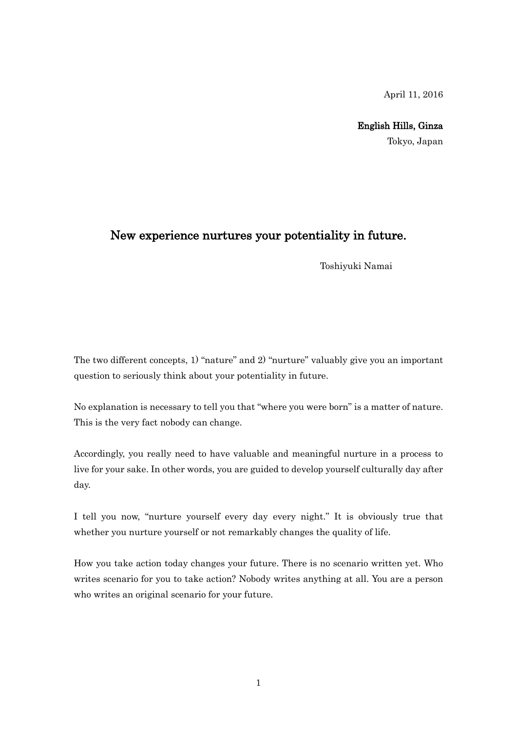April 11, 2016

English Hills, Ginza

Tokyo, Japan

## New experience nurtures your potentiality in future.

Toshiyuki Namai

The two different concepts, 1) "nature" and 2) "nurture" valuably give you an important question to seriously think about your potentiality in future.

No explanation is necessary to tell you that "where you were born" is a matter of nature. This is the very fact nobody can change.

Accordingly, you really need to have valuable and meaningful nurture in a process to live for your sake. In other words, you are guided to develop yourself culturally day after day.

I tell you now, "nurture yourself every day every night." It is obviously true that whether you nurture yourself or not remarkably changes the quality of life.

How you take action today changes your future. There is no scenario written yet. Who writes scenario for you to take action? Nobody writes anything at all. You are a person who writes an original scenario for your future.